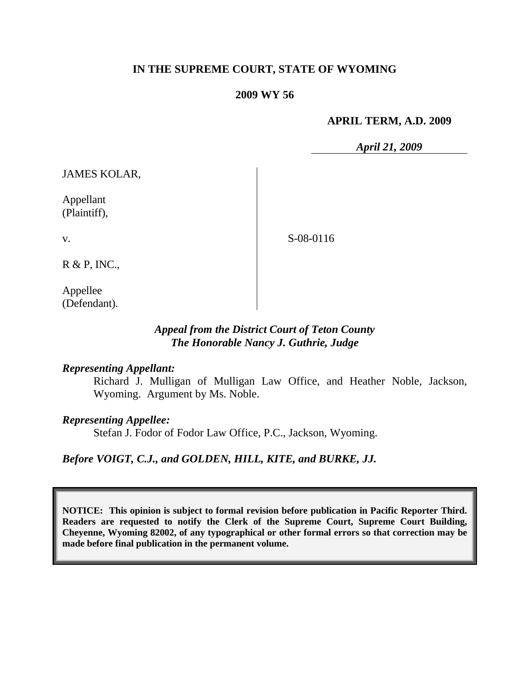# **IN THE SUPREME COURT, STATE OF WYOMING**

#### **2009 WY 56**

#### **APRIL TERM, A.D. 2009**

*April 21, 2009*

JAMES KOLAR,

Appellant (Plaintiff),

v.

S-08-0116

R & P, INC.,

Appellee (Defendant).

## *Appeal from the District Court of Teton County The Honorable Nancy J. Guthrie, Judge*

#### *Representing Appellant:*

Richard J. Mulligan of Mulligan Law Office, and Heather Noble, Jackson, Wyoming. Argument by Ms. Noble.

#### *Representing Appellee:*

Stefan J. Fodor of Fodor Law Office, P.C., Jackson, Wyoming.

## *Before VOIGT, C.J., and GOLDEN, HILL, KITE, and BURKE, JJ.*

**NOTICE: This opinion is subject to formal revision before publication in Pacific Reporter Third. Readers are requested to notify the Clerk of the Supreme Court, Supreme Court Building, Cheyenne, Wyoming 82002, of any typographical or other formal errors so that correction may be made before final publication in the permanent volume.**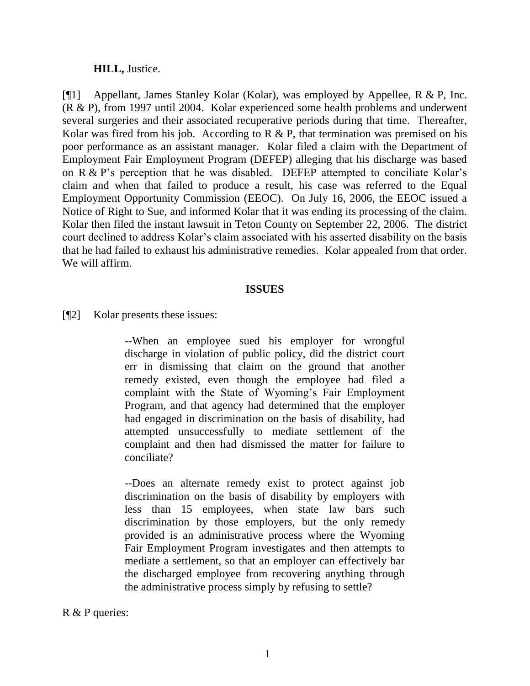#### **HILL,** Justice.

[¶1] Appellant, James Stanley Kolar (Kolar), was employed by Appellee, R & P, Inc. (R & P), from 1997 until 2004. Kolar experienced some health problems and underwent several surgeries and their associated recuperative periods during that time. Thereafter, Kolar was fired from his job. According to  $R \& P$ , that termination was premised on his poor performance as an assistant manager. Kolar filed a claim with the Department of Employment Fair Employment Program (DEFEP) alleging that his discharge was based on R & P's perception that he was disabled. DEFEP attempted to conciliate Kolar's claim and when that failed to produce a result, his case was referred to the Equal Employment Opportunity Commission (EEOC). On July 16, 2006, the EEOC issued a Notice of Right to Sue, and informed Kolar that it was ending its processing of the claim. Kolar then filed the instant lawsuit in Teton County on September 22, 2006. The district court declined to address Kolar"s claim associated with his asserted disability on the basis that he had failed to exhaust his administrative remedies. Kolar appealed from that order. We will affirm.

## **ISSUES**

[¶2] Kolar presents these issues:

--When an employee sued his employer for wrongful discharge in violation of public policy, did the district court err in dismissing that claim on the ground that another remedy existed, even though the employee had filed a complaint with the State of Wyoming"s Fair Employment Program, and that agency had determined that the employer had engaged in discrimination on the basis of disability, had attempted unsuccessfully to mediate settlement of the complaint and then had dismissed the matter for failure to conciliate?

--Does an alternate remedy exist to protect against job discrimination on the basis of disability by employers with less than 15 employees, when state law bars such discrimination by those employers, but the only remedy provided is an administrative process where the Wyoming Fair Employment Program investigates and then attempts to mediate a settlement, so that an employer can effectively bar the discharged employee from recovering anything through the administrative process simply by refusing to settle?

#### R & P queries: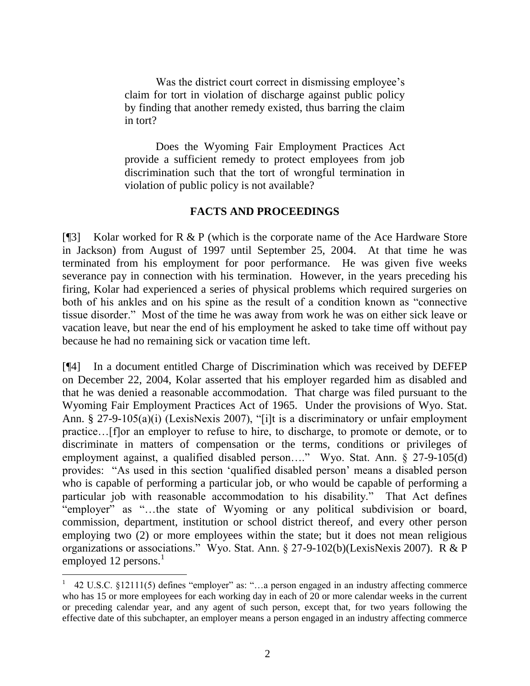Was the district court correct in dismissing employee's claim for tort in violation of discharge against public policy by finding that another remedy existed, thus barring the claim in tort?

Does the Wyoming Fair Employment Practices Act provide a sufficient remedy to protect employees from job discrimination such that the tort of wrongful termination in violation of public policy is not available?

# **FACTS AND PROCEEDINGS**

[¶3] Kolar worked for R & P (which is the corporate name of the Ace Hardware Store in Jackson) from August of 1997 until September 25, 2004. At that time he was terminated from his employment for poor performance. He was given five weeks severance pay in connection with his termination. However, in the years preceding his firing, Kolar had experienced a series of physical problems which required surgeries on both of his ankles and on his spine as the result of a condition known as "connective tissue disorder." Most of the time he was away from work he was on either sick leave or vacation leave, but near the end of his employment he asked to take time off without pay because he had no remaining sick or vacation time left.

[¶4] In a document entitled Charge of Discrimination which was received by DEFEP on December 22, 2004, Kolar asserted that his employer regarded him as disabled and that he was denied a reasonable accommodation. That charge was filed pursuant to the Wyoming Fair Employment Practices Act of 1965. Under the provisions of Wyo. Stat. Ann. § 27-9-105(a)(i) (LexisNexis 2007), "[i]t is a discriminatory or unfair employment practice…[f]or an employer to refuse to hire, to discharge, to promote or demote, or to discriminate in matters of compensation or the terms, conditions or privileges of employment against, a qualified disabled person…." Wyo. Stat. Ann. § 27-9-105(d) provides: "As used in this section "qualified disabled person" means a disabled person who is capable of performing a particular job, or who would be capable of performing a particular job with reasonable accommodation to his disability." That Act defines "employer" as "…the state of Wyoming or any political subdivision or board, commission, department, institution or school district thereof, and every other person employing two (2) or more employees within the state; but it does not mean religious organizations or associations." Wyo. Stat. Ann. § 27-9-102(b)(LexisNexis 2007). R & P employed 12 persons. $<sup>1</sup>$ </sup>

<sup>1</sup> 42 U.S.C. §12111(5) defines "employer" as: "…a person engaged in an industry affecting commerce who has 15 or more employees for each working day in each of 20 or more calendar weeks in the current or preceding calendar year, and any agent of such person, except that, for two years following the effective date of this subchapter, an employer means a person engaged in an industry affecting commerce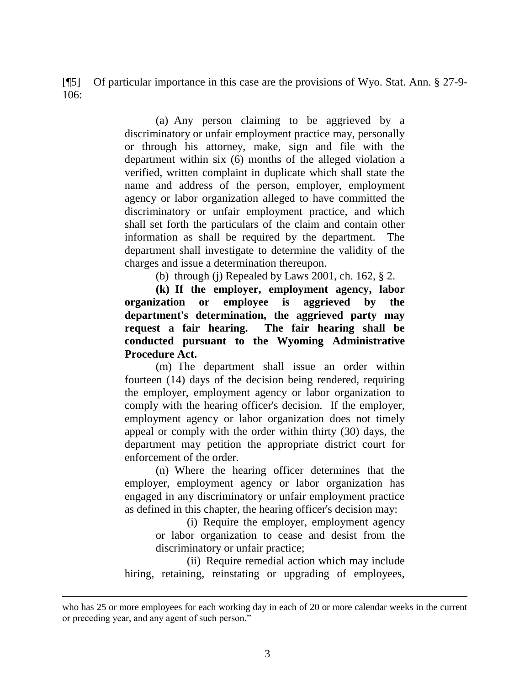[¶5] Of particular importance in this case are the provisions of Wyo. Stat. Ann. § 27-9- 106:

> (a) Any person claiming to be aggrieved by a discriminatory or unfair employment practice may, personally or through his attorney, make, sign and file with the department within six (6) months of the alleged violation a verified, written complaint in duplicate which shall state the name and address of the person, employer, employment agency or labor organization alleged to have committed the discriminatory or unfair employment practice, and which shall set forth the particulars of the claim and contain other information as shall be required by the department. The department shall investigate to determine the validity of the charges and issue a determination thereupon.

> > (b) through (j) Repealed by Laws 2001, ch. 162,  $\S$  2.

**(k) If the employer, employment agency, labor organization or employee is aggrieved by the department's determination, the aggrieved party may request a fair hearing. The fair hearing shall be conducted pursuant to the Wyoming Administrative Procedure Act.**

(m) The department shall issue an order within fourteen (14) days of the decision being rendered, requiring the employer, employment agency or labor organization to comply with the hearing officer's decision. If the employer, employment agency or labor organization does not timely appeal or comply with the order within thirty (30) days, the department may petition the appropriate district court for enforcement of the order.

(n) Where the hearing officer determines that the employer, employment agency or labor organization has engaged in any discriminatory or unfair employment practice as defined in this chapter, the hearing officer's decision may:

> (i) Require the employer, employment agency or labor organization to cease and desist from the discriminatory or unfair practice;

(ii) Require remedial action which may include hiring, retaining, reinstating or upgrading of employees,

l

who has 25 or more employees for each working day in each of 20 or more calendar weeks in the current or preceding year, and any agent of such person."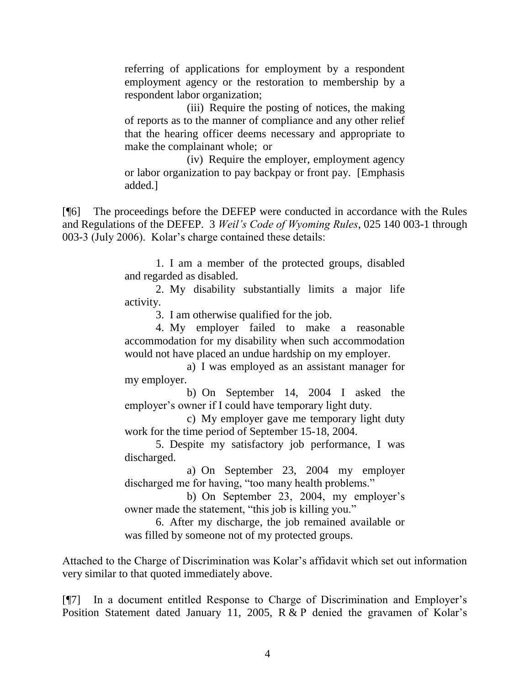referring of applications for employment by a respondent employment agency or the restoration to membership by a respondent labor organization;

(iii) Require the posting of notices, the making of reports as to the manner of compliance and any other relief that the hearing officer deems necessary and appropriate to make the complainant whole; or

(iv) Require the employer, employment agency or labor organization to pay backpay or front pay. [Emphasis added.]

[¶6] The proceedings before the DEFEP were conducted in accordance with the Rules and Regulations of the DEFEP. 3 *Weil's Code of Wyoming Rules*, 025 140 003-1 through 003-3 (July 2006). Kolar"s charge contained these details:

> 1. I am a member of the protected groups, disabled and regarded as disabled.

> 2. My disability substantially limits a major life activity.

3. I am otherwise qualified for the job.

4. My employer failed to make a reasonable accommodation for my disability when such accommodation would not have placed an undue hardship on my employer.

a) I was employed as an assistant manager for my employer.

b) On September 14, 2004 I asked the employer's owner if I could have temporary light duty.

c) My employer gave me temporary light duty work for the time period of September 15-18, 2004.

5. Despite my satisfactory job performance, I was discharged.

a) On September 23, 2004 my employer discharged me for having, "too many health problems."

b) On September 23, 2004, my employer's owner made the statement, "this job is killing you."

6. After my discharge, the job remained available or was filled by someone not of my protected groups.

Attached to the Charge of Discrimination was Kolar"s affidavit which set out information very similar to that quoted immediately above.

[¶7] In a document entitled Response to Charge of Discrimination and Employer"s Position Statement dated January 11, 2005,  $R & P$  denied the gravamen of Kolar's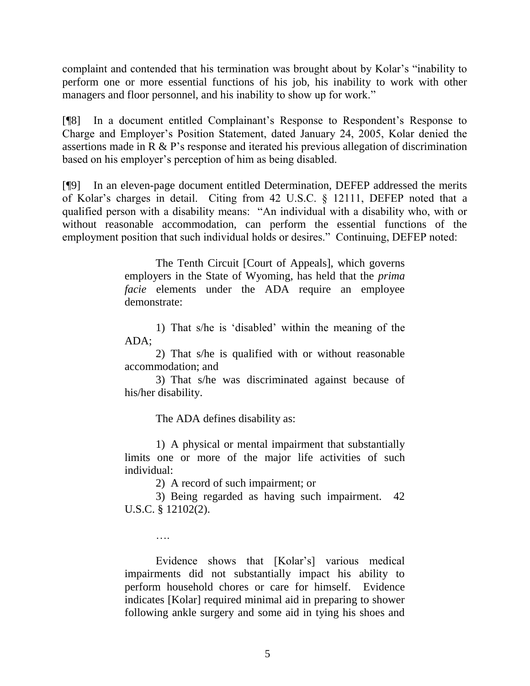complaint and contended that his termination was brought about by Kolar"s "inability to perform one or more essential functions of his job, his inability to work with other managers and floor personnel, and his inability to show up for work."

[¶8] In a document entitled Complainant"s Response to Respondent"s Response to Charge and Employer"s Position Statement, dated January 24, 2005, Kolar denied the assertions made in R & P"s response and iterated his previous allegation of discrimination based on his employer"s perception of him as being disabled.

[¶9] In an eleven-page document entitled Determination, DEFEP addressed the merits of Kolar's charges in detail. Citing from 42 U.S.C. § 12111, DEFEP noted that a qualified person with a disability means: "An individual with a disability who, with or without reasonable accommodation, can perform the essential functions of the employment position that such individual holds or desires." Continuing, DEFEP noted:

> The Tenth Circuit [Court of Appeals], which governs employers in the State of Wyoming, has held that the *prima facie* elements under the ADA require an employee demonstrate:

> 1) That s/he is "disabled" within the meaning of the ADA;

> 2) That s/he is qualified with or without reasonable accommodation; and

> 3) That s/he was discriminated against because of his/her disability.

> > The ADA defines disability as:

1) A physical or mental impairment that substantially limits one or more of the major life activities of such individual:

2) A record of such impairment; or

3) Being regarded as having such impairment. 42 U.S.C. § 12102(2).

….

Evidence shows that [Kolar"s] various medical impairments did not substantially impact his ability to perform household chores or care for himself. Evidence indicates [Kolar] required minimal aid in preparing to shower following ankle surgery and some aid in tying his shoes and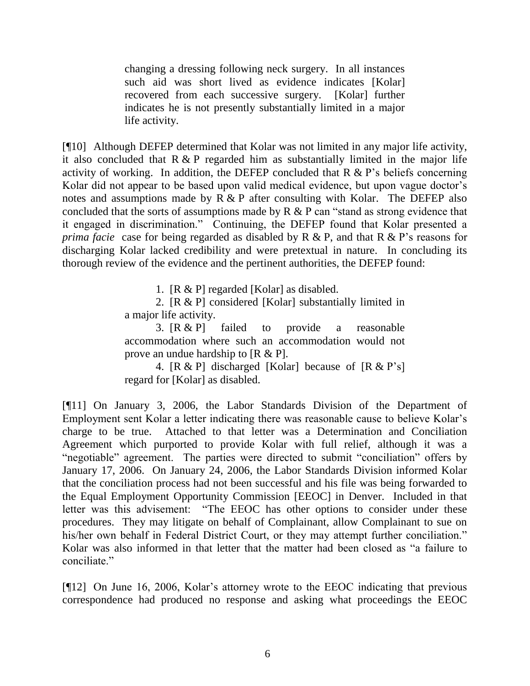changing a dressing following neck surgery. In all instances such aid was short lived as evidence indicates [Kolar] recovered from each successive surgery. [Kolar] further indicates he is not presently substantially limited in a major life activity.

[¶10] Although DEFEP determined that Kolar was not limited in any major life activity, it also concluded that  $R \& P$  regarded him as substantially limited in the major life activity of working. In addition, the DEFEP concluded that  $R \& P$ 's beliefs concerning Kolar did not appear to be based upon valid medical evidence, but upon vague doctor's notes and assumptions made by  $R \& P$  after consulting with Kolar. The DEFEP also concluded that the sorts of assumptions made by  $R \& P$  can "stand as strong evidence that it engaged in discrimination." Continuing, the DEFEP found that Kolar presented a *prima facie* case for being regarded as disabled by R & P, and that R & P's reasons for discharging Kolar lacked credibility and were pretextual in nature. In concluding its thorough review of the evidence and the pertinent authorities, the DEFEP found:

1. [R & P] regarded [Kolar] as disabled.

2. [R & P] considered [Kolar] substantially limited in a major life activity.

3. [R & P] failed to provide a reasonable accommodation where such an accommodation would not prove an undue hardship to [R & P].

4.  $[R \& P]$  discharged [Kolar] because of  $[R \& P's]$ regard for [Kolar] as disabled.

[¶11] On January 3, 2006, the Labor Standards Division of the Department of Employment sent Kolar a letter indicating there was reasonable cause to believe Kolar"s charge to be true. Attached to that letter was a Determination and Conciliation Agreement which purported to provide Kolar with full relief, although it was a "negotiable" agreement. The parties were directed to submit "conciliation" offers by January 17, 2006. On January 24, 2006, the Labor Standards Division informed Kolar that the conciliation process had not been successful and his file was being forwarded to the Equal Employment Opportunity Commission [EEOC] in Denver. Included in that letter was this advisement: "The EEOC has other options to consider under these procedures. They may litigate on behalf of Complainant, allow Complainant to sue on his/her own behalf in Federal District Court, or they may attempt further conciliation." Kolar was also informed in that letter that the matter had been closed as "a failure to conciliate."

[¶12] On June 16, 2006, Kolar"s attorney wrote to the EEOC indicating that previous correspondence had produced no response and asking what proceedings the EEOC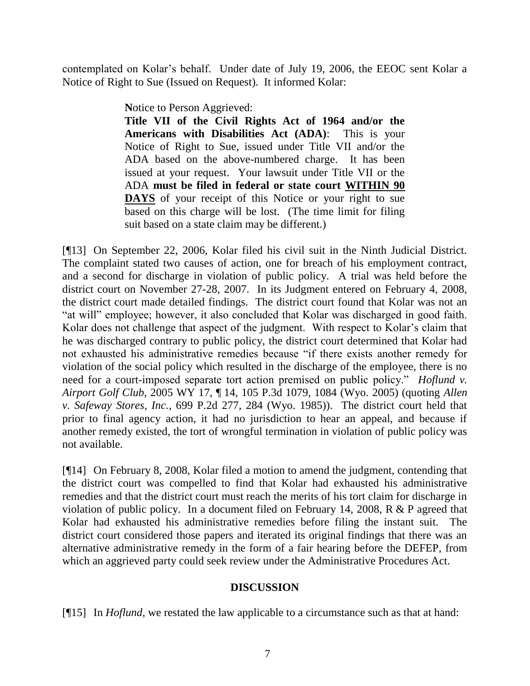contemplated on Kolar"s behalf. Under date of July 19, 2006, the EEOC sent Kolar a Notice of Right to Sue (Issued on Request). It informed Kolar:

**N**otice to Person Aggrieved:

**Title VII of the Civil Rights Act of 1964 and/or the Americans with Disabilities Act (ADA)**: This is your Notice of Right to Sue, issued under Title VII and/or the ADA based on the above-numbered charge. It has been issued at your request. Your lawsuit under Title VII or the ADA **must be filed in federal or state court WITHIN 90 DAYS** of your receipt of this Notice or your right to sue based on this charge will be lost. (The time limit for filing suit based on a state claim may be different.)

[¶13] On September 22, 2006, Kolar filed his civil suit in the Ninth Judicial District. The complaint stated two causes of action, one for breach of his employment contract, and a second for discharge in violation of public policy. A trial was held before the district court on November 27-28, 2007. In its Judgment entered on February 4, 2008, the district court made detailed findings. The district court found that Kolar was not an "at will" employee; however, it also concluded that Kolar was discharged in good faith. Kolar does not challenge that aspect of the judgment. With respect to Kolar"s claim that he was discharged contrary to public policy, the district court determined that Kolar had not exhausted his administrative remedies because "if there exists another remedy for violation of the social policy which resulted in the discharge of the employee, there is no need for a court-imposed separate tort action premised on public policy." *Hoflund v. Airport Golf Club*, 2005 WY 17, ¶ 14, 105 P.3d 1079, 1084 (Wyo. 2005) (quoting *Allen v. Safeway Stores, Inc.*, 699 P.2d 277, 284 (Wyo. 1985)). The district court held that prior to final agency action, it had no jurisdiction to hear an appeal, and because if another remedy existed, the tort of wrongful termination in violation of public policy was not available.

[¶14] On February 8, 2008, Kolar filed a motion to amend the judgment, contending that the district court was compelled to find that Kolar had exhausted his administrative remedies and that the district court must reach the merits of his tort claim for discharge in violation of public policy. In a document filed on February 14, 2008, R & P agreed that Kolar had exhausted his administrative remedies before filing the instant suit. The district court considered those papers and iterated its original findings that there was an alternative administrative remedy in the form of a fair hearing before the DEFEP, from which an aggrieved party could seek review under the Administrative Procedures Act.

# **DISCUSSION**

[¶15] In *Hoflund*, we restated the law applicable to a circumstance such as that at hand: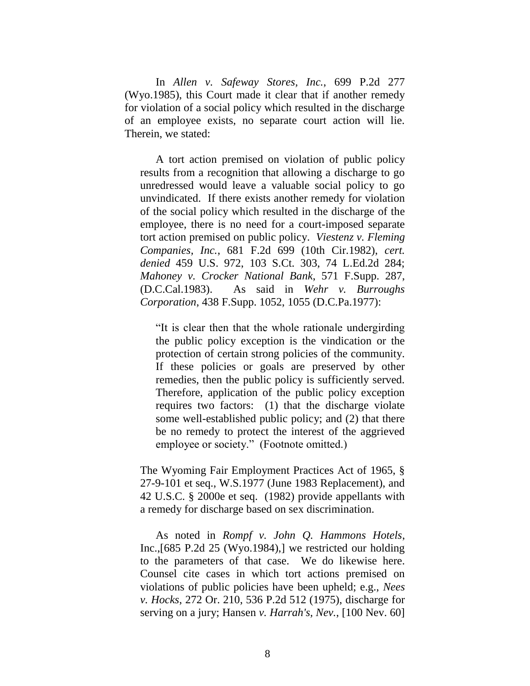In *Allen v. Safeway Stores, Inc.*, 699 P.2d 277 (Wyo.1985), this Court made it clear that if another remedy for violation of a social policy which resulted in the discharge of an employee exists, no separate court action will lie. Therein, we stated:

A tort action premised on violation of public policy results from a recognition that allowing a discharge to go unredressed would leave a valuable social policy to go unvindicated. If there exists another remedy for violation of the social policy which resulted in the discharge of the employee, there is no need for a court-imposed separate tort action premised on public policy. *Viestenz v. Fleming Companies, Inc.*, 681 F.2d 699 (10th Cir.1982), *cert. denied* 459 U.S. 972, 103 S.Ct. 303, 74 L.Ed.2d 284; *Mahoney v. Crocker National Bank*, 571 F.Supp. 287, (D.C.Cal.1983). As said in *Wehr v. Burroughs Corporation*, 438 F.Supp. 1052, 1055 (D.C.Pa.1977):

"It is clear then that the whole rationale undergirding the public policy exception is the vindication or the protection of certain strong policies of the community. If these policies or goals are preserved by other remedies, then the public policy is sufficiently served. Therefore, application of the public policy exception requires two factors: (1) that the discharge violate some well-established public policy; and (2) that there be no remedy to protect the interest of the aggrieved employee or society." (Footnote omitted.)

The Wyoming Fair Employment Practices Act of 1965, § 27-9-101 et seq., W.S.1977 (June 1983 Replacement), and 42 U.S.C. § 2000e et seq. (1982) provide appellants with a remedy for discharge based on sex discrimination.

As noted in *Rompf v. John Q. Hammons Hotels*, Inc.,[685 P.2d 25 (Wyo.1984),] we restricted our holding to the parameters of that case. We do likewise here. Counsel cite cases in which tort actions premised on violations of public policies have been upheld; e.g., *Nees v. Hocks*, 272 Or. 210, 536 P.2d 512 (1975), discharge for serving on a jury; Hansen *v. Harrah's, Nev.*, [100 Nev. 60]